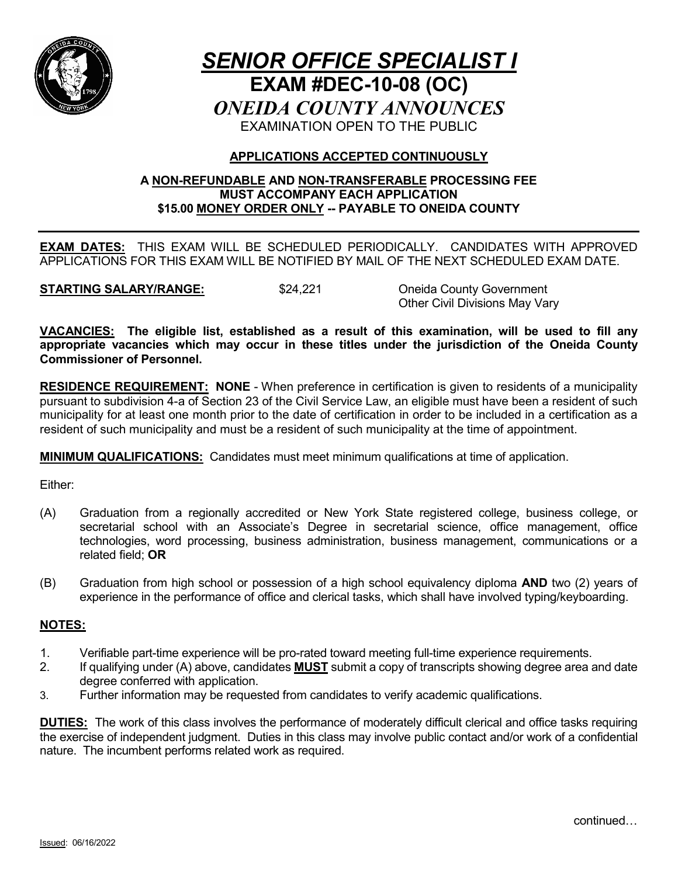

# *SENIOR OFFICE SPECIALIST I* **EXAM #DEC-10-08 (OC)** *ONEIDA COUNTY ANNOUNCES* EXAMINATION OPEN TO THE PUBLIC

## **APPLICATIONS ACCEPTED CONTINUOUSLY**

## **A NON-REFUNDABLE AND NON-TRANSFERABLE PROCESSING FEE MUST ACCOMPANY EACH APPLICATION \$15.00 MONEY ORDER ONLY -- PAYABLE TO ONEIDA COUNTY**

**EXAM DATES:** THIS EXAM WILL BE SCHEDULED PERIODICALLY. CANDIDATES WITH APPROVED APPLICATIONS FOR THIS EXAM WILL BE NOTIFIED BY MAIL OF THE NEXT SCHEDULED EXAM DATE.

**STARTING SALARY/RANGE:**  $$24,221$  Oneida County Government

Other Civil Divisions May Vary

**VACANCIES: The eligible list, established as a result of this examination, will be used to fill any appropriate vacancies which may occur in these titles under the jurisdiction of the Oneida County Commissioner of Personnel.**

**RESIDENCE REQUIREMENT: NONE** - When preference in certification is given to residents of a municipality pursuant to subdivision 4-a of Section 23 of the Civil Service Law, an eligible must have been a resident of such municipality for at least one month prior to the date of certification in order to be included in a certification as a resident of such municipality and must be a resident of such municipality at the time of appointment.

**MINIMUM QUALIFICATIONS:** Candidates must meet minimum qualifications at time of application.

Either:

- (A) Graduation from a regionally accredited or New York State registered college, business college, or secretarial school with an Associate's Degree in secretarial science, office management, office technologies, word processing, business administration, business management, communications or a related field; **OR**
- (B) Graduation from high school or possession of a high school equivalency diploma **AND** two (2) years of experience in the performance of office and clerical tasks, which shall have involved typing/keyboarding.

## **NOTES:**

- 1. Verifiable part-time experience will be pro-rated toward meeting full-time experience requirements.
- 2. If qualifying under (A) above, candidates **MUST** submit a copy of transcripts showing degree area and date degree conferred with application.
- 3. Further information may be requested from candidates to verify academic qualifications.

**DUTIES:** The work of this class involves the performance of moderately difficult clerical and office tasks requiring the exercise of independent judgment. Duties in this class may involve public contact and/or work of a confidential nature. The incumbent performs related work as required.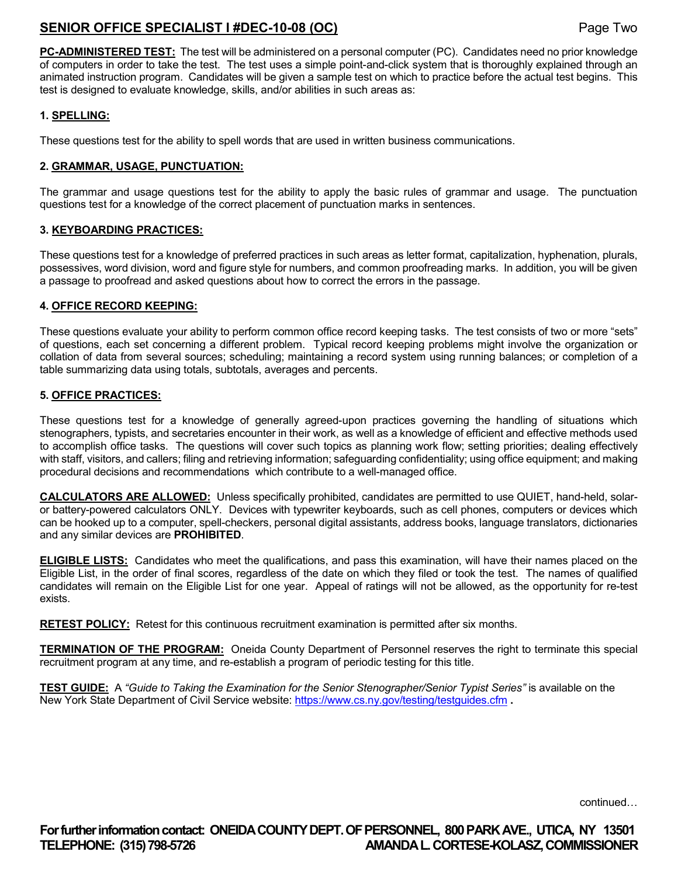## **SENIOR OFFICE SPECIALIST I #DEC-10-08 (OC)** Page Two

**PC-ADMINISTERED TEST:** The test will be administered on a personal computer (PC). Candidates need no prior knowledge of computers in order to take the test. The test uses a simple point-and-click system that is thoroughly explained through an animated instruction program. Candidates will be given a sample test on which to practice before the actual test begins. This test is designed to evaluate knowledge, skills, and/or abilities in such areas as:

#### **1. SPELLING:**

These questions test for the ability to spell words that are used in written business communications.

#### **2. GRAMMAR, USAGE, PUNCTUATION:**

The grammar and usage questions test for the ability to apply the basic rules of grammar and usage. The punctuation questions test for a knowledge of the correct placement of punctuation marks in sentences.

#### **3. KEYBOARDING PRACTICES:**

These questions test for a knowledge of preferred practices in such areas as letter format, capitalization, hyphenation, plurals, possessives, word division, word and figure style for numbers, and common proofreading marks. In addition, you will be given a passage to proofread and asked questions about how to correct the errors in the passage.

#### **4. OFFICE RECORD KEEPING:**

These questions evaluate your ability to perform common office record keeping tasks. The test consists of two or more "sets" of questions, each set concerning a different problem. Typical record keeping problems might involve the organization or collation of data from several sources; scheduling; maintaining a record system using running balances; or completion of a table summarizing data using totals, subtotals, averages and percents.

#### **5. OFFICE PRACTICES:**

These questions test for a knowledge of generally agreed-upon practices governing the handling of situations which stenographers, typists, and secretaries encounter in their work, as well as a knowledge of efficient and effective methods used to accomplish office tasks. The questions will cover such topics as planning work flow; setting priorities; dealing effectively with staff, visitors, and callers; filing and retrieving information; safeguarding confidentiality; using office equipment; and making procedural decisions and recommendations which contribute to a well-managed office.

**CALCULATORS ARE ALLOWED:** Unless specifically prohibited, candidates are permitted to use QUIET, hand-held, solaror battery-powered calculators ONLY. Devices with typewriter keyboards, such as cell phones, computers or devices which can be hooked up to a computer, spell-checkers, personal digital assistants, address books, language translators, dictionaries and any similar devices are **PROHIBITED**.

**ELIGIBLE LISTS:** Candidates who meet the qualifications, and pass this examination, will have their names placed on the Eligible List, in the order of final scores, regardless of the date on which they filed or took the test. The names of qualified candidates will remain on the Eligible List for one year. Appeal of ratings will not be allowed, as the opportunity for re-test exists.

**RETEST POLICY:** Retest for this continuous recruitment examination is permitted after six months.

**TERMINATION OF THE PROGRAM:** Oneida County Department of Personnel reserves the right to terminate this special recruitment program at any time, and re-establish a program of periodic testing for this title.

**TEST GUIDE:** A *"Guide to Taking the Examination for the Senior Stenographer/Senior Typist Series"* is available on the New York State Department of Civil Service website:<https://www.cs.ny.gov/testing/testguides.cfm> **.**

continued…